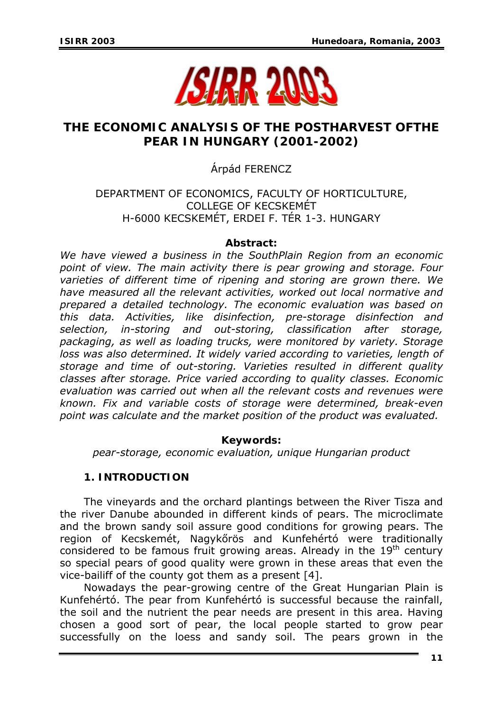

# **THE ECONOMIC ANALYSIS OF THE POSTHARVEST OFTHE PEAR IN HUNGARY (2001-2002)**

# Árpád FERENCZ

# DEPARTMENT OF ECONOMICS, FACULTY OF HORTICULTURE, COLLEGE OF KECSKEMÉT H-6000 KECSKEMÉT, ERDEI F. TÉR 1-3. HUNGARY

## *Abstract:*

*We have viewed a business in the SouthPlain Region from an economic point of view. The main activity there is pear growing and storage. Four varieties of different time of ripening and storing are grown there. We have measured all the relevant activities, worked out local normative and prepared a detailed technology. The economic evaluation was based on this data. Activities, like disinfection, pre-storage disinfection and selection, in-storing and out-storing, classification after storage, packaging, as well as loading trucks, were monitored by variety. Storage loss was also determined. It widely varied according to varieties, length of storage and time of out-storing. Varieties resulted in different quality classes after storage. Price varied according to quality classes. Economic evaluation was carried out when all the relevant costs and revenues were known. Fix and variable costs of storage were determined, break-even point was calculate and the market position of the product was evaluated.* 

# *Keywords:*

*pear-storage, economic evaluation, unique Hungarian product* 

# **1. INTRODUCTION**

The vineyards and the orchard plantings between the River Tisza and the river Danube abounded in different kinds of pears. The microclimate and the brown sandy soil assure good conditions for growing pears. The region of Kecskemét, Nagykőrös and Kunfehértó were traditionally considered to be famous fruit growing areas. Already in the 19<sup>th</sup> century so special pears of good quality were grown in these areas that even the vice-bailiff of the county got them as a present [4].

Nowadays the pear-growing centre of the Great Hungarian Plain is Kunfehértó. The pear from Kunfehértó is successful because the rainfall, the soil and the nutrient the pear needs are present in this area. Having chosen a good sort of pear, the local people started to grow pear successfully on the loess and sandy soil. The pears grown in the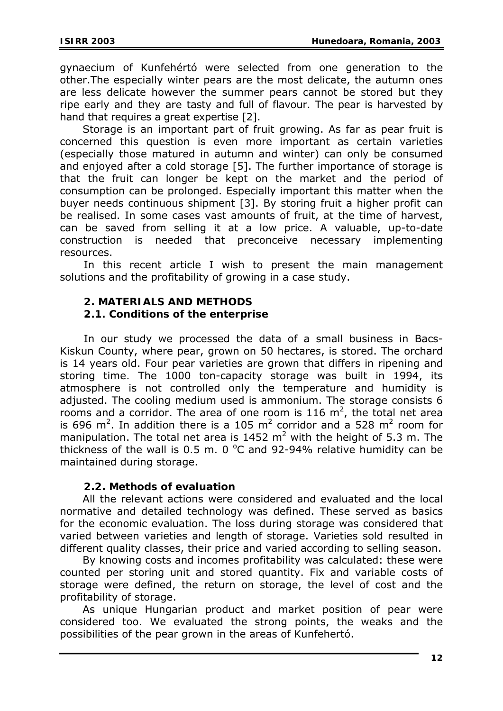gynaecium of Kunfehértó were selected from one generation to the other.The especially winter pears are the most delicate, the autumn ones are less delicate however the summer pears cannot be stored but they ripe early and they are tasty and full of flavour. The pear is harvested by hand that requires a great expertise [2].

Storage is an important part of fruit growing. As far as pear fruit is concerned this question is even more important as certain varieties (especially those matured in autumn and winter) can only be consumed and enjoyed after a cold storage [5]. The further importance of storage is that the fruit can longer be kept on the market and the period of consumption can be prolonged. Especially important this matter when the buyer needs continuous shipment [3]. By storing fruit a higher profit can be realised. In some cases vast amounts of fruit, at the time of harvest, can be saved from selling it at a low price. A valuable, up-to-date construction is needed that preconceive necessary implementing resources.

In this recent article I wish to present the main management solutions and the profitability of growing in a case study.

# **2. MATERIALS AND METHODS**

#### **2.1. Conditions of the enterprise**

In our study we processed the data of a small business in Bacs-Kiskun County, where pear, grown on 50 hectares, is stored. The orchard is 14 years old. Four pear varieties are grown that differs in ripening and storing time. The 1000 ton-capacity storage was built in 1994, its atmosphere is not controlled only the temperature and humidity is adjusted. The cooling medium used is ammonium. The storage consists 6 rooms and a corridor. The area of one room is 116  $m^2$ , the total net area is 696 m<sup>2</sup>. In addition there is a 105 m<sup>2</sup> corridor and a 528 m<sup>2</sup> room for manipulation. The total net area is  $1452 \text{ m}^2$  with the height of 5.3 m. The thickness of the wall is  $0.5$  m. 0  $^{\circ}$ C and 92-94% relative humidity can be maintained during storage.

#### **2.2. Methods of evaluation**

All the relevant actions were considered and evaluated and the local normative and detailed technology was defined. These served as basics for the economic evaluation. The loss during storage was considered that varied between varieties and length of storage. Varieties sold resulted in different quality classes, their price and varied according to selling season.

By knowing costs and incomes profitability was calculated: these were counted per storing unit and stored quantity. Fix and variable costs of storage were defined, the return on storage, the level of cost and the profitability of storage.

As unique Hungarian product and market position of pear were considered too. We evaluated the strong points, the weaks and the possibilities of the pear grown in the areas of Kunfehertó.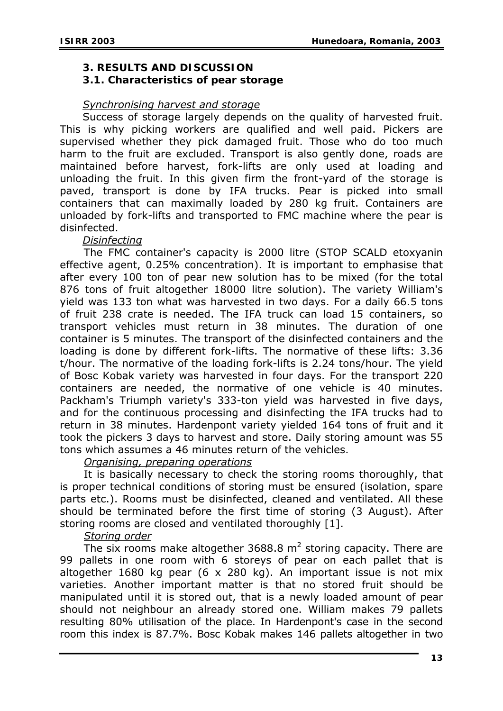#### **3. RESULT***S* **AND DISCUSSION**

#### **3.1. Characteristics of pear storage**

#### *Synchronising harvest and storage*

Success of storage largely depends on the quality of harvested fruit. This is why picking workers are qualified and well paid. Pickers are supervised whether they pick damaged fruit. Those who do too much harm to the fruit are excluded. Transport is also gently done, roads are maintained before harvest, fork-lifts are only used at loading and unloading the fruit. In this given firm the front-yard of the storage is paved, transport is done by IFA trucks. Pear is picked into small containers that can maximally loaded by 280 kg fruit. Containers are unloaded by fork-lifts and transported to FMC machine where the pear is disinfected.

#### *Disinfecting*

 The FMC container's capacity is 2000 litre (STOP SCALD etoxyanin effective agent, 0.25% concentration). It is important to emphasise that after every 100 ton of pear new solution has to be mixed (for the total 876 tons of fruit altogether 18000 litre solution). The variety William's yield was 133 ton what was harvested in two days. For a daily 66.5 tons of fruit 238 crate is needed. The IFA truck can load 15 containers, so transport vehicles must return in 38 minutes. The duration of one container is 5 minutes. The transport of the disinfected containers and the loading is done by different fork-lifts. The normative of these lifts: 3.36 t/hour. The normative of the loading fork-lifts is 2.24 tons/hour. The yield of Bosc Kobak variety was harvested in four days. For the transport 220 containers are needed, the normative of one vehicle is 40 minutes. Packham's Triumph variety's 333-ton yield was harvested in five days, and for the continuous processing and disinfecting the IFA trucks had to return in 38 minutes. Hardenpont variety yielded 164 tons of fruit and it took the pickers 3 days to harvest and store. Daily storing amount was 55 tons which assumes a 46 minutes return of the vehicles.

#### *Organising, preparing operations*

It is basically necessary to check the storing rooms thoroughly, that is proper technical conditions of storing must be ensured (isolation, spare parts etc.). Rooms must be disinfected, cleaned and ventilated. All these should be terminated before the first time of storing (3 August). After storing rooms are closed and ventilated thoroughly [1].

#### *Storing order*

The six rooms make altogether 3688.8  $m<sup>2</sup>$  storing capacity. There are 99 pallets in one room with 6 storeys of pear on each pallet that is altogether 1680 kg pear (6 x 280 kg). An important issue is not mix varieties. Another important matter is that no stored fruit should be manipulated until it is stored out, that is a newly loaded amount of pear should not neighbour an already stored one. William makes 79 pallets resulting 80% utilisation of the place. In Hardenpont's case in the second room this index is 87.7%. Bosc Kobak makes 146 pallets altogether in two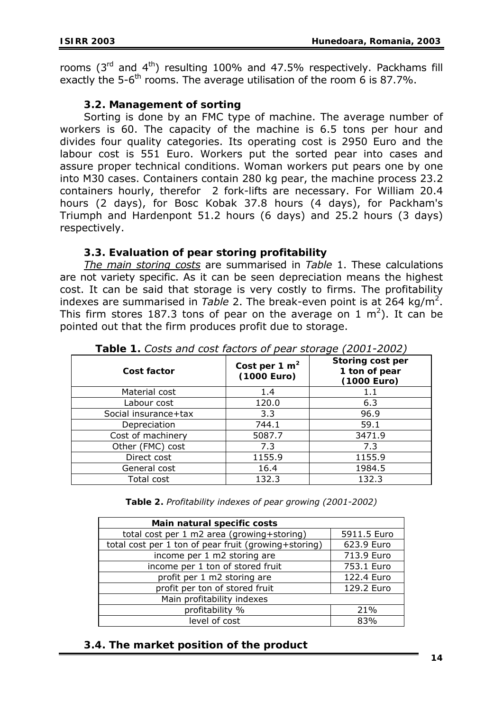rooms  $(3<sup>rd</sup>$  and  $4<sup>th</sup>)$  resulting 100% and 47.5% respectively. Packhams fill exactly the 5-6<sup>th</sup> rooms. The average utilisation of the room 6 is 87.7%.

### **3.2. Management of sorting**

Sorting is done by an FMC type of machine. The average number of workers is 60. The capacity of the machine is 6.5 tons per hour and divides four quality categories. Its operating cost is 2950 Euro and the labour cost is 551 Euro. Workers put the sorted pear into cases and assure proper technical conditions. Woman workers put pears one by one into M30 cases. Containers contain 280 kg pear, the machine process 23.2 containers hourly, therefor 2 fork-lifts are necessary. For William 20.4 hours (2 days), for Bosc Kobak 37.8 hours (4 days), for Packham's Triumph and Hardenpont 51.2 hours (6 days) and 25.2 hours (3 days) respectively.

## **3.3. Evaluation of pear storing profitability**

*The main storing costs* are summarised in *Table* 1. These calculations are not variety specific. As it can be seen depreciation means the highest cost. It can be said that storage is very costly to firms. The profitability indexes are summarised in *Table* 2. The break-even point is at 264 kg/m<sup>2</sup>. This firm stores 187.3 tons of pear on the average on 1 m<sup>2</sup>). It can be pointed out that the firm produces profit due to storage.

| Cost factor          | Cost per 1 $m2$<br>(1000 Euro) | Storing cost per<br>1 ton of pear<br>(1000 Euro) |
|----------------------|--------------------------------|--------------------------------------------------|
| Material cost        | 1.4                            | $1.1\,$                                          |
| Labour cost          | 120.0                          | 6.3                                              |
| Social insurance+tax | 3.3                            | 96.9                                             |
| Depreciation         | 744.1                          | 59.1                                             |
| Cost of machinery    | 5087.7                         | 3471.9                                           |
| Other (FMC) cost     | 7.3                            | 7.3                                              |
| Direct cost          | 1155.9                         | 1155.9                                           |
| General cost         | 16.4                           | 1984.5                                           |
| Total cost           | 132.3                          | 132.3                                            |

*Table 1. Costs and cost factors of pear storage (2001-2002)* 

| Table 2. Profitability indexes of pear growing (2001-2002) |  |  |  |  |
|------------------------------------------------------------|--|--|--|--|
|------------------------------------------------------------|--|--|--|--|

| Main natural specific costs                          |             |  |
|------------------------------------------------------|-------------|--|
| total cost per 1 m2 area (growing+storing)           | 5911.5 Euro |  |
| total cost per 1 ton of pear fruit (growing+storing) | 623.9 Euro  |  |
| income per 1 m2 storing are                          | 713.9 Euro  |  |
| income per 1 ton of stored fruit                     | 753.1 Euro  |  |
| profit per 1 m2 storing are                          | 122.4 Euro  |  |
| profit per ton of stored fruit                       | 129.2 Euro  |  |
| Main profitability indexes                           |             |  |
| profitability %                                      | 21%         |  |
| level of cost                                        | 83%         |  |

#### **3.4. The market position of the product**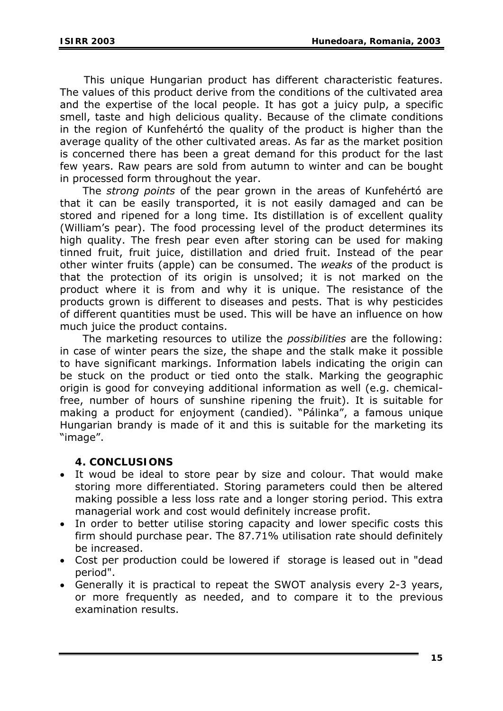This unique Hungarian product has different characteristic features. The values of this product derive from the conditions of the cultivated area and the expertise of the local people. It has got a juicy pulp, a specific smell, taste and high delicious quality. Because of the climate conditions in the region of Kunfehértó the quality of the product is higher than the average quality of the other cultivated areas. As far as the market position is concerned there has been a great demand for this product for the last few years. Raw pears are sold from autumn to winter and can be bought in processed form throughout the year.

The *strong points* of the pear grown in the areas of Kunfehértó are that it can be easily transported, it is not easily damaged and can be stored and ripened for a long time. Its distillation is of excellent quality (William's pear). The food processing level of the product determines its high quality. The fresh pear even after storing can be used for making tinned fruit, fruit juice, distillation and dried fruit. Instead of the pear other winter fruits (apple) can be consumed. The *weaks* of the product is that the protection of its origin is unsolved; it is not marked on the product where it is from and why it is unique. The resistance of the products grown is different to diseases and pests. That is why pesticides of different quantities must be used. This will be have an influence on how much juice the product contains.

The marketing resources to utilize the *possibilities* are the following: in case of winter pears the size, the shape and the stalk make it possible to have significant markings. Information labels indicating the origin can be stuck on the product or tied onto the stalk. Marking the geographic origin is good for conveying additional information as well (e.g. chemicalfree, number of hours of sunshine ripening the fruit). It is suitable for making a product for enjoyment (candied). "Pálinka", a famous unique Hungarian brandy is made of it and this is suitable for the marketing its "image".

#### **4. CONCLUSIONS**

- It woud be ideal to store pear by size and colour. That would make storing more differentiated. Storing parameters could then be altered making possible a less loss rate and a longer storing period. This extra managerial work and cost would definitely increase profit.
- In order to better utilise storing capacity and lower specific costs this firm should purchase pear. The 87.71% utilisation rate should definitely be increased.
- Cost per production could be lowered if storage is leased out in "dead period".
- Generally it is practical to repeat the SWOT analysis every 2-3 years, or more frequently as needed, and to compare it to the previous examination results.